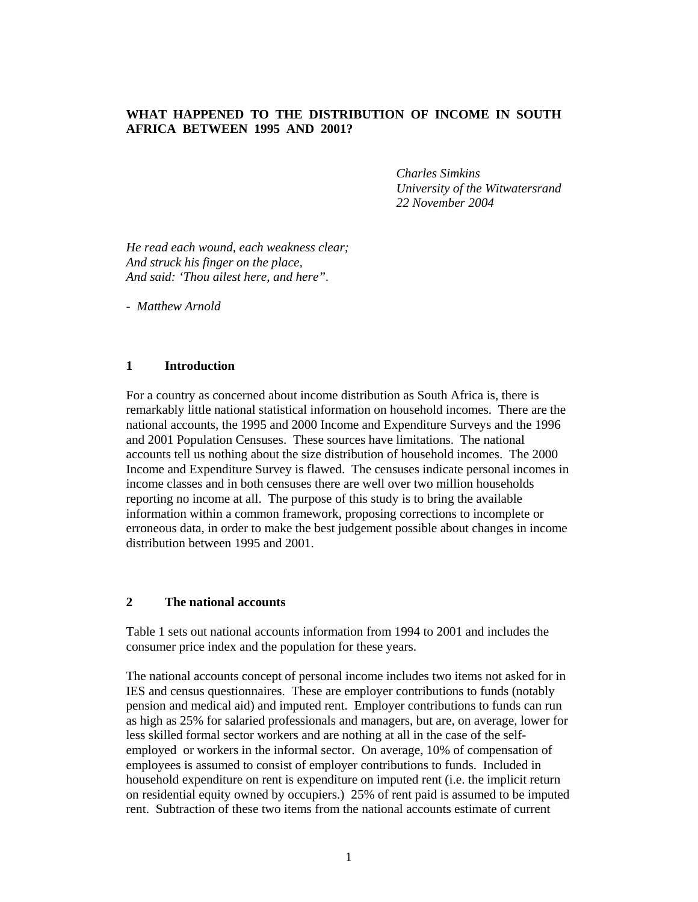## **WHAT HAPPENED TO THE DISTRIBUTION OF INCOME IN SOUTH AFRICA BETWEEN 1995 AND 2001?**

*Charles Simkins University of the Witwatersrand 22 November 2004* 

*He read each wound, each weakness clear; And struck his finger on the place, And said: 'Thou ailest here, and here".* 

*- Matthew Arnold* 

#### **1 Introduction**

For a country as concerned about income distribution as South Africa is, there is remarkably little national statistical information on household incomes. There are the national accounts, the 1995 and 2000 Income and Expenditure Surveys and the 1996 and 2001 Population Censuses. These sources have limitations. The national accounts tell us nothing about the size distribution of household incomes. The 2000 Income and Expenditure Survey is flawed. The censuses indicate personal incomes in income classes and in both censuses there are well over two million households reporting no income at all. The purpose of this study is to bring the available information within a common framework, proposing corrections to incomplete or erroneous data, in order to make the best judgement possible about changes in income distribution between 1995 and 2001.

#### **2 The national accounts**

Table 1 sets out national accounts information from 1994 to 2001 and includes the consumer price index and the population for these years.

The national accounts concept of personal income includes two items not asked for in IES and census questionnaires. These are employer contributions to funds (notably pension and medical aid) and imputed rent. Employer contributions to funds can run as high as 25% for salaried professionals and managers, but are, on average, lower for less skilled formal sector workers and are nothing at all in the case of the selfemployed or workers in the informal sector. On average, 10% of compensation of employees is assumed to consist of employer contributions to funds. Included in household expenditure on rent is expenditure on imputed rent (i.e. the implicit return on residential equity owned by occupiers.) 25% of rent paid is assumed to be imputed rent. Subtraction of these two items from the national accounts estimate of current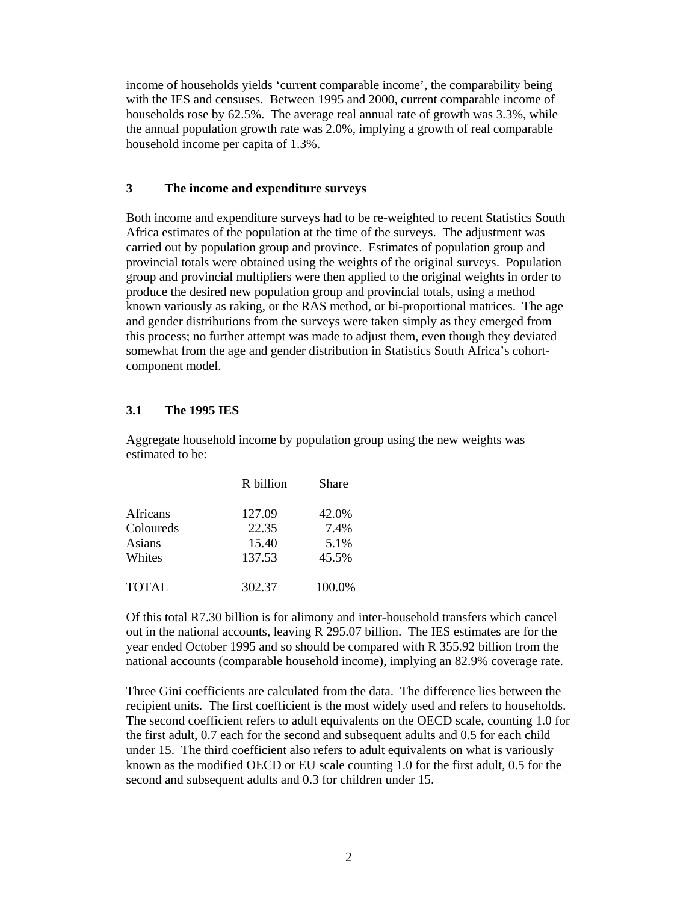income of households yields 'current comparable income', the comparability being with the IES and censuses. Between 1995 and 2000, current comparable income of households rose by 62.5%. The average real annual rate of growth was 3.3%, while the annual population growth rate was 2.0%, implying a growth of real comparable household income per capita of 1.3%.

## **3 The income and expenditure surveys**

Both income and expenditure surveys had to be re-weighted to recent Statistics South Africa estimates of the population at the time of the surveys. The adjustment was carried out by population group and province. Estimates of population group and provincial totals were obtained using the weights of the original surveys. Population group and provincial multipliers were then applied to the original weights in order to produce the desired new population group and provincial totals, using a method known variously as raking, or the RAS method, or bi-proportional matrices. The age and gender distributions from the surveys were taken simply as they emerged from this process; no further attempt was made to adjust them, even though they deviated somewhat from the age and gender distribution in Statistics South Africa's cohortcomponent model.

# **3.1 The 1995 IES**

Aggregate household income by population group using the new weights was estimated to be:

|              | R billion | Share  |
|--------------|-----------|--------|
| Africans     | 127.09    | 42.0%  |
| Coloureds    | 22.35     | 7.4%   |
| Asians       | 15.40     | 5.1%   |
| Whites       | 137.53    | 45.5%  |
| <b>TOTAL</b> | 302.37    | 100.0% |

Of this total R7.30 billion is for alimony and inter-household transfers which cancel out in the national accounts, leaving R 295.07 billion. The IES estimates are for the year ended October 1995 and so should be compared with R 355.92 billion from the national accounts (comparable household income), implying an 82.9% coverage rate.

Three Gini coefficients are calculated from the data. The difference lies between the recipient units. The first coefficient is the most widely used and refers to households. The second coefficient refers to adult equivalents on the OECD scale, counting 1.0 for the first adult, 0.7 each for the second and subsequent adults and 0.5 for each child under 15. The third coefficient also refers to adult equivalents on what is variously known as the modified OECD or EU scale counting 1.0 for the first adult, 0.5 for the second and subsequent adults and 0.3 for children under 15.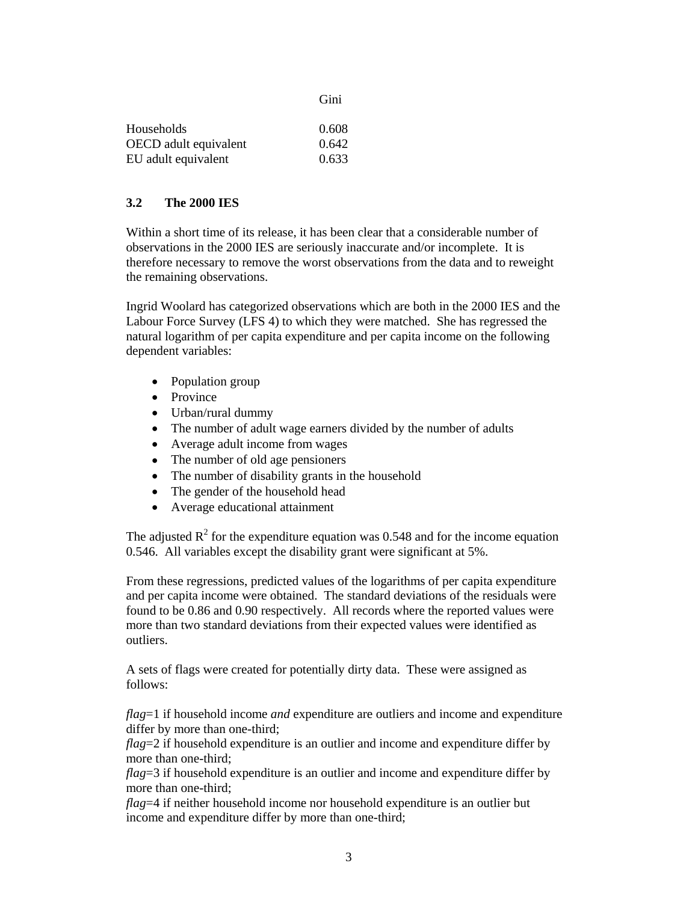|                       | Gini  |
|-----------------------|-------|
| Households            | 0.608 |
| OECD adult equivalent | 0.642 |
| EU adult equivalent   | 0.633 |

## **3.2 The 2000 IES**

Within a short time of its release, it has been clear that a considerable number of observations in the 2000 IES are seriously inaccurate and/or incomplete. It is therefore necessary to remove the worst observations from the data and to reweight the remaining observations.

Ingrid Woolard has categorized observations which are both in the 2000 IES and the Labour Force Survey (LFS 4) to which they were matched. She has regressed the natural logarithm of per capita expenditure and per capita income on the following dependent variables:

- Population group
- Province
- Urban/rural dummy
- The number of adult wage earners divided by the number of adults
- Average adult income from wages
- The number of old age pensioners
- The number of disability grants in the household
- The gender of the household head
- Average educational attainment

The adjusted  $\mathbb{R}^2$  for the expenditure equation was 0.548 and for the income equation 0.546. All variables except the disability grant were significant at 5%.

From these regressions, predicted values of the logarithms of per capita expenditure and per capita income were obtained. The standard deviations of the residuals were found to be 0.86 and 0.90 respectively. All records where the reported values were more than two standard deviations from their expected values were identified as outliers.

A sets of flags were created for potentially dirty data. These were assigned as follows:

*flag*=1 if household income *and* expenditure are outliers and income and expenditure differ by more than one-third;

*flag*=2 if household expenditure is an outlier and income and expenditure differ by more than one-third;

*flag*=3 if household expenditure is an outlier and income and expenditure differ by more than one-third;

*flag*=4 if neither household income nor household expenditure is an outlier but income and expenditure differ by more than one-third;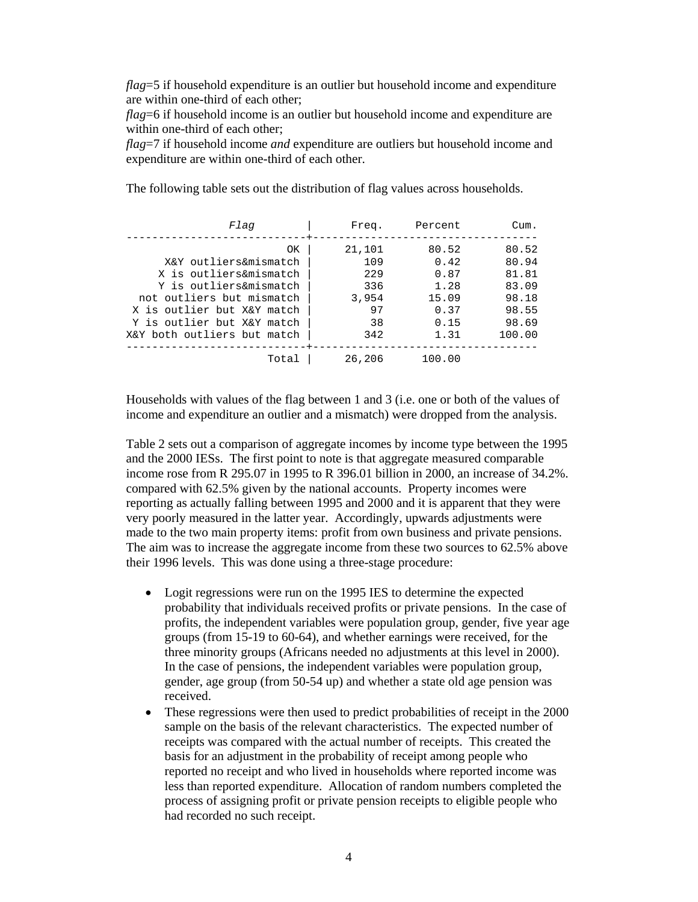*flag*=5 if household expenditure is an outlier but household income and expenditure are within one-third of each other;

*flag*=6 if household income is an outlier but household income and expenditure are within one-third of each other;

*flag*=7 if household income *and* expenditure are outliers but household income and expenditure are within one-third of each other.

Flag | Freq. Percent Cum. ----------------------------+----------------------------------- OK | 21,101 80.52 80.52 X&Y outliers&mismatch | 109 0.42 80.94 X is outliers&mismatch | 229 0.87 81.81 Y is outliers&mismatch | 336 1.28 83.09 not outliers but mismatch | 3,954 15.09 98.18 X is outlier but X&Y match | 97 0.37 98.55

Y is outlier but X&Y match | 38 0.15 98.69 X&Y both outliers but match  $\vert$  342 1.31 100.00 ----------------------------+-----------------------------------

The following table sets out the distribution of flag values across households.

Households with values of the flag between 1 and 3 (i.e. one or both of the values of income and expenditure an outlier and a mismatch) were dropped from the analysis.

Total | 26,206 100.00

Table 2 sets out a comparison of aggregate incomes by income type between the 1995 and the 2000 IESs. The first point to note is that aggregate measured comparable income rose from R 295.07 in 1995 to R 396.01 billion in 2000, an increase of 34.2%. compared with 62.5% given by the national accounts. Property incomes were reporting as actually falling between 1995 and 2000 and it is apparent that they were very poorly measured in the latter year. Accordingly, upwards adjustments were made to the two main property items: profit from own business and private pensions. The aim was to increase the aggregate income from these two sources to 62.5% above their 1996 levels. This was done using a three-stage procedure:

- Logit regressions were run on the 1995 IES to determine the expected probability that individuals received profits or private pensions. In the case of profits, the independent variables were population group, gender, five year age groups (from 15-19 to 60-64), and whether earnings were received, for the three minority groups (Africans needed no adjustments at this level in 2000). In the case of pensions, the independent variables were population group, gender, age group (from 50-54 up) and whether a state old age pension was received.
- These regressions were then used to predict probabilities of receipt in the 2000 sample on the basis of the relevant characteristics. The expected number of receipts was compared with the actual number of receipts. This created the basis for an adjustment in the probability of receipt among people who reported no receipt and who lived in households where reported income was less than reported expenditure. Allocation of random numbers completed the process of assigning profit or private pension receipts to eligible people who had recorded no such receipt.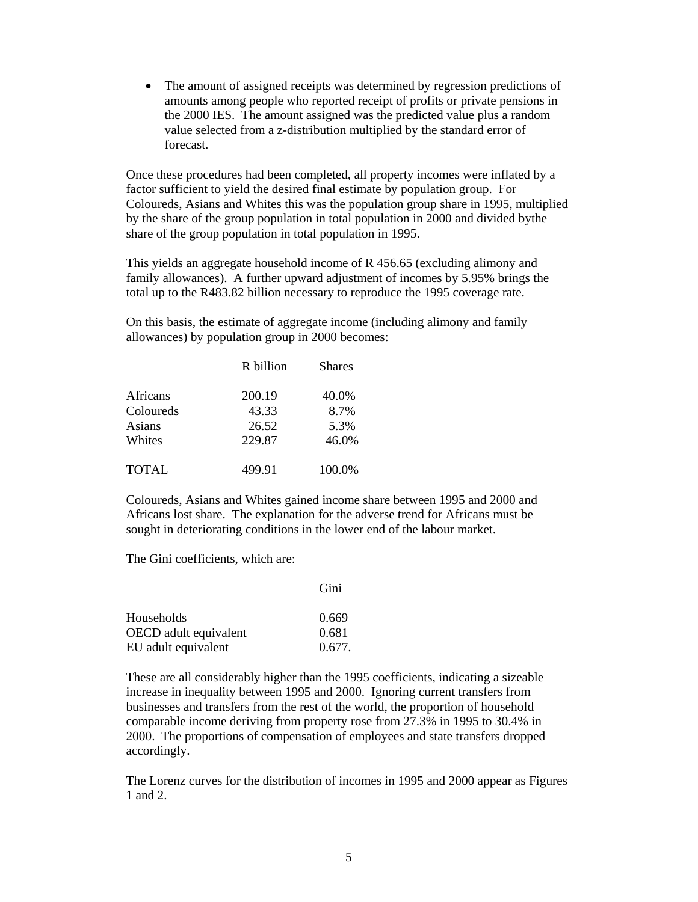• The amount of assigned receipts was determined by regression predictions of amounts among people who reported receipt of profits or private pensions in the 2000 IES. The amount assigned was the predicted value plus a random value selected from a z-distribution multiplied by the standard error of forecast.

Once these procedures had been completed, all property incomes were inflated by a factor sufficient to yield the desired final estimate by population group. For Coloureds, Asians and Whites this was the population group share in 1995, multiplied by the share of the group population in total population in 2000 and divided bythe share of the group population in total population in 1995.

This yields an aggregate household income of R 456.65 (excluding alimony and family allowances). A further upward adjustment of incomes by 5.95% brings the total up to the R483.82 billion necessary to reproduce the 1995 coverage rate.

On this basis, the estimate of aggregate income (including alimony and family allowances) by population group in 2000 becomes:

|              | R billion | <b>Shares</b> |
|--------------|-----------|---------------|
| Africans     | 200.19    | 40.0%         |
| Coloureds    | 43.33     | 8.7%          |
| Asians       | 26.52     | 5.3%          |
| Whites       | 229.87    | 46.0%         |
| <b>TOTAL</b> | 499.91    | 100.0%        |

Coloureds, Asians and Whites gained income share between 1995 and 2000 and Africans lost share. The explanation for the adverse trend for Africans must be sought in deteriorating conditions in the lower end of the labour market.

The Gini coefficients, which are:

|                              | Gini   |
|------------------------------|--------|
| Households                   | 0.669  |
| <b>OECD</b> adult equivalent | 0.681  |
| EU adult equivalent          | 0.677. |

These are all considerably higher than the 1995 coefficients, indicating a sizeable increase in inequality between 1995 and 2000. Ignoring current transfers from businesses and transfers from the rest of the world, the proportion of household comparable income deriving from property rose from 27.3% in 1995 to 30.4% in 2000. The proportions of compensation of employees and state transfers dropped accordingly.

The Lorenz curves for the distribution of incomes in 1995 and 2000 appear as Figures 1 and 2.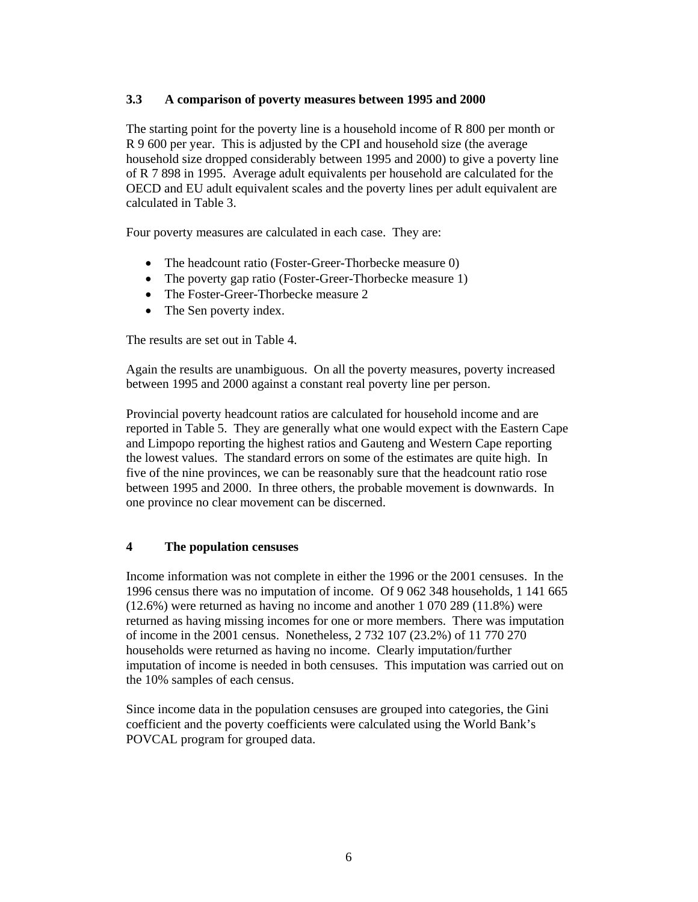# **3.3 A comparison of poverty measures between 1995 and 2000**

The starting point for the poverty line is a household income of R 800 per month or R 9 600 per year. This is adjusted by the CPI and household size (the average household size dropped considerably between 1995 and 2000) to give a poverty line of R 7 898 in 1995. Average adult equivalents per household are calculated for the OECD and EU adult equivalent scales and the poverty lines per adult equivalent are calculated in Table 3.

Four poverty measures are calculated in each case. They are:

- The headcount ratio (Foster-Greer-Thorbecke measure 0)
- The poverty gap ratio (Foster-Greer-Thorbecke measure 1)
- The Foster-Greer-Thorbecke measure 2
- The Sen poverty index.

The results are set out in Table 4.

Again the results are unambiguous. On all the poverty measures, poverty increased between 1995 and 2000 against a constant real poverty line per person.

Provincial poverty headcount ratios are calculated for household income and are reported in Table 5. They are generally what one would expect with the Eastern Cape and Limpopo reporting the highest ratios and Gauteng and Western Cape reporting the lowest values. The standard errors on some of the estimates are quite high. In five of the nine provinces, we can be reasonably sure that the headcount ratio rose between 1995 and 2000. In three others, the probable movement is downwards. In one province no clear movement can be discerned.

## **4 The population censuses**

Income information was not complete in either the 1996 or the 2001 censuses. In the 1996 census there was no imputation of income. Of 9 062 348 households, 1 141 665 (12.6%) were returned as having no income and another 1 070 289 (11.8%) were returned as having missing incomes for one or more members. There was imputation of income in the 2001 census. Nonetheless, 2 732 107 (23.2%) of 11 770 270 households were returned as having no income. Clearly imputation/further imputation of income is needed in both censuses. This imputation was carried out on the 10% samples of each census.

Since income data in the population censuses are grouped into categories, the Gini coefficient and the poverty coefficients were calculated using the World Bank's POVCAL program for grouped data.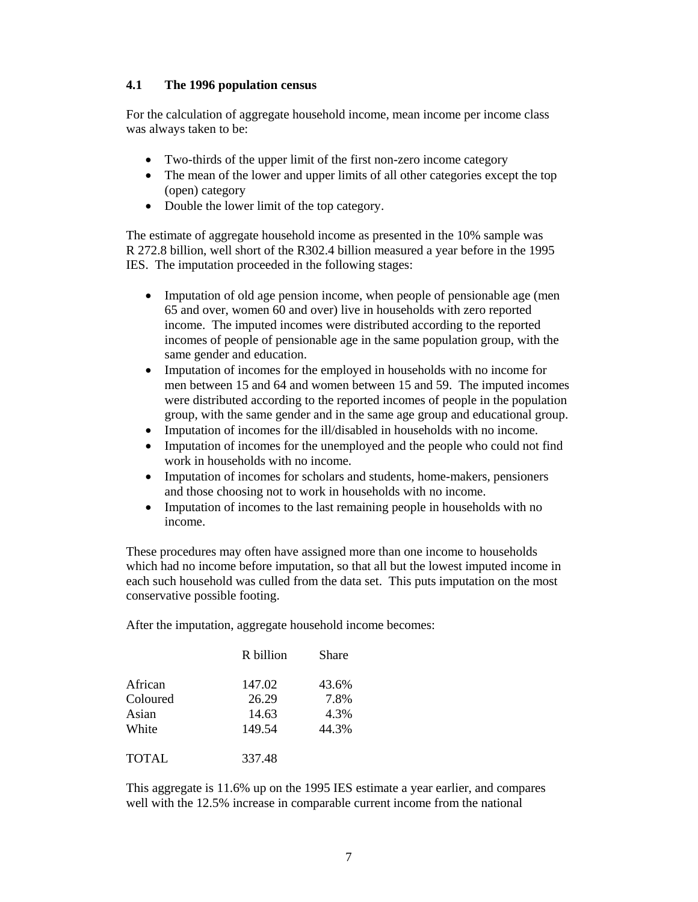# **4.1 The 1996 population census**

For the calculation of aggregate household income, mean income per income class was always taken to be:

- Two-thirds of the upper limit of the first non-zero income category
- The mean of the lower and upper limits of all other categories except the top (open) category
- Double the lower limit of the top category.

The estimate of aggregate household income as presented in the 10% sample was R 272.8 billion, well short of the R302.4 billion measured a year before in the 1995 IES. The imputation proceeded in the following stages:

- Imputation of old age pension income, when people of pensionable age (men 65 and over, women 60 and over) live in households with zero reported income. The imputed incomes were distributed according to the reported incomes of people of pensionable age in the same population group, with the same gender and education.
- Imputation of incomes for the employed in households with no income for men between 15 and 64 and women between 15 and 59. The imputed incomes were distributed according to the reported incomes of people in the population group, with the same gender and in the same age group and educational group.
- Imputation of incomes for the ill/disabled in households with no income.
- Imputation of incomes for the unemployed and the people who could not find work in households with no income.
- Imputation of incomes for scholars and students, home-makers, pensioners and those choosing not to work in households with no income.
- Imputation of incomes to the last remaining people in households with no income.

These procedures may often have assigned more than one income to households which had no income before imputation, so that all but the lowest imputed income in each such household was culled from the data set. This puts imputation on the most conservative possible footing.

After the imputation, aggregate household income becomes:

|              | R billion | Share |
|--------------|-----------|-------|
| African      | 147.02    | 43.6% |
| Coloured     | 26.29     | 7.8%  |
| Asian        | 14.63     | 4.3%  |
| White        | 149.54    | 44.3% |
| <b>TOTAL</b> | 337.48    |       |

This aggregate is 11.6% up on the 1995 IES estimate a year earlier, and compares well with the 12.5% increase in comparable current income from the national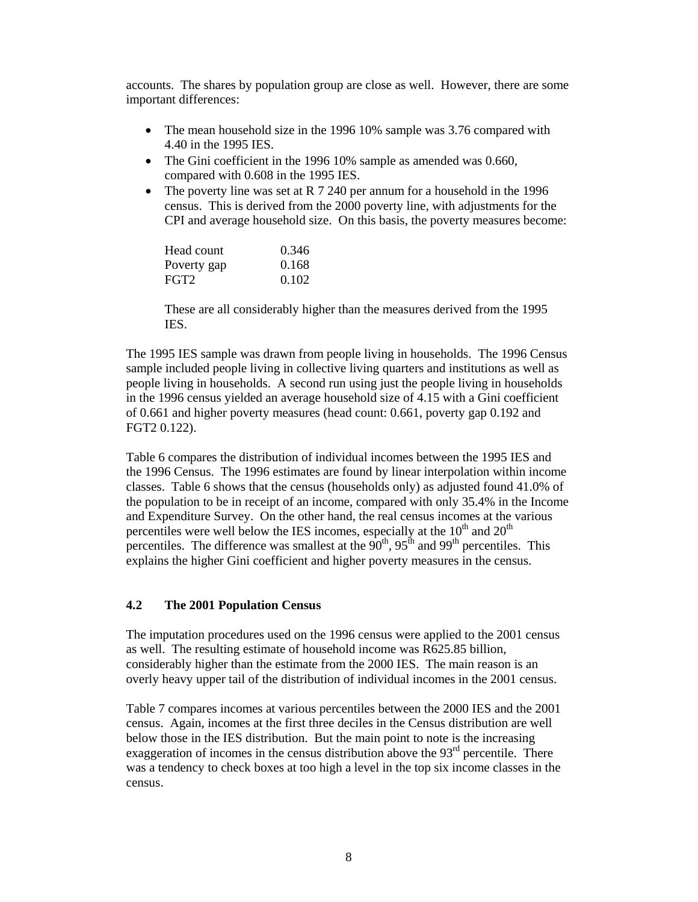accounts. The shares by population group are close as well. However, there are some important differences:

- The mean household size in the 1996 10% sample was 3.76 compared with 4.40 in the 1995 IES.
- The Gini coefficient in the 1996 10% sample as amended was 0.660, compared with 0.608 in the 1995 IES.
- The poverty line was set at R 7 240 per annum for a household in the 1996 census. This is derived from the 2000 poverty line, with adjustments for the CPI and average household size. On this basis, the poverty measures become:

| Head count  | 0.346 |
|-------------|-------|
| Poverty gap | 0.168 |
| FGT2        | 0.102 |

These are all considerably higher than the measures derived from the 1995 IES.

The 1995 IES sample was drawn from people living in households. The 1996 Census sample included people living in collective living quarters and institutions as well as people living in households. A second run using just the people living in households in the 1996 census yielded an average household size of 4.15 with a Gini coefficient of 0.661 and higher poverty measures (head count: 0.661, poverty gap 0.192 and FGT2 0.122).

Table 6 compares the distribution of individual incomes between the 1995 IES and the 1996 Census. The 1996 estimates are found by linear interpolation within income classes. Table 6 shows that the census (households only) as adjusted found 41.0% of the population to be in receipt of an income, compared with only 35.4% in the Income and Expenditure Survey. On the other hand, the real census incomes at the various percentiles were well below the IES incomes, especially at the  $10<sup>th</sup>$  and  $20<sup>th</sup>$ percentiles. The difference was smallest at the  $90^{th}$ ,  $95^{th}$  and  $99^{th}$  percentiles. This explains the higher Gini coefficient and higher poverty measures in the census.

## **4.2 The 2001 Population Census**

The imputation procedures used on the 1996 census were applied to the 2001 census as well. The resulting estimate of household income was R625.85 billion, considerably higher than the estimate from the 2000 IES. The main reason is an overly heavy upper tail of the distribution of individual incomes in the 2001 census.

Table 7 compares incomes at various percentiles between the 2000 IES and the 2001 census. Again, incomes at the first three deciles in the Census distribution are well below those in the IES distribution. But the main point to note is the increasing exaggeration of incomes in the census distribution above the  $93<sup>rd</sup>$  percentile. There was a tendency to check boxes at too high a level in the top six income classes in the census.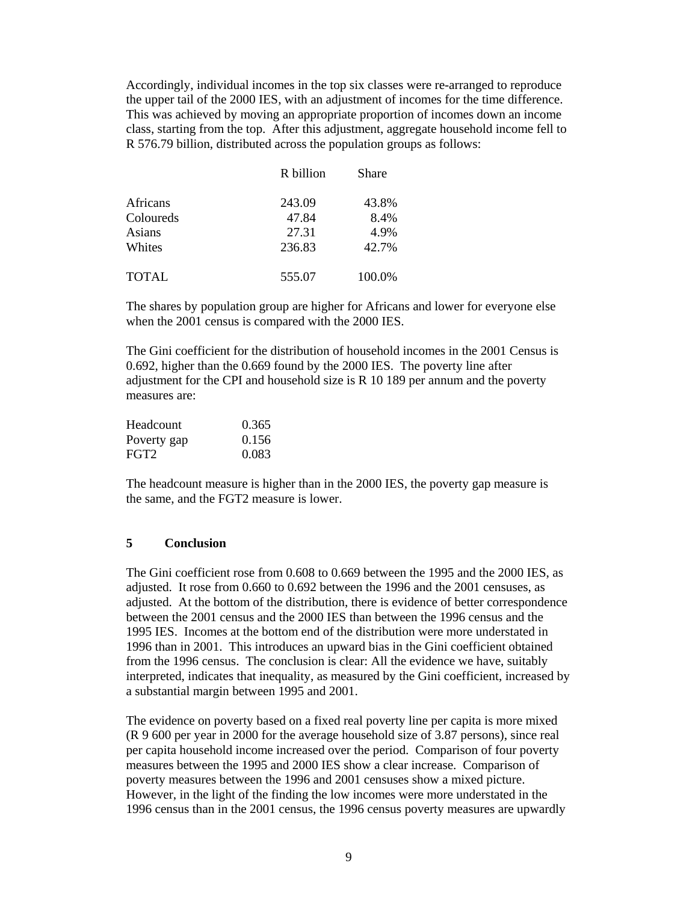Accordingly, individual incomes in the top six classes were re-arranged to reproduce the upper tail of the 2000 IES, with an adjustment of incomes for the time difference. This was achieved by moving an appropriate proportion of incomes down an income class, starting from the top. After this adjustment, aggregate household income fell to R 576.79 billion, distributed across the population groups as follows:

|              | R billion | Share  |
|--------------|-----------|--------|
| Africans     | 243.09    | 43.8%  |
| Coloureds    | 47.84     | 8.4%   |
| Asians       | 27.31     | 4.9%   |
| Whites       | 236.83    | 42.7%  |
| <b>TOTAL</b> | 555.07    | 100.0% |

The shares by population group are higher for Africans and lower for everyone else when the 2001 census is compared with the 2000 IES.

The Gini coefficient for the distribution of household incomes in the 2001 Census is 0.692, higher than the 0.669 found by the 2000 IES. The poverty line after adjustment for the CPI and household size is R 10 189 per annum and the poverty measures are:

| Headcount        | 0.365 |
|------------------|-------|
| Poverty gap      | 0.156 |
| FGT <sub>2</sub> | 0.083 |

The headcount measure is higher than in the 2000 IES, the poverty gap measure is the same, and the FGT2 measure is lower.

## **5 Conclusion**

The Gini coefficient rose from 0.608 to 0.669 between the 1995 and the 2000 IES, as adjusted. It rose from 0.660 to 0.692 between the 1996 and the 2001 censuses, as adjusted. At the bottom of the distribution, there is evidence of better correspondence between the 2001 census and the 2000 IES than between the 1996 census and the 1995 IES. Incomes at the bottom end of the distribution were more understated in 1996 than in 2001. This introduces an upward bias in the Gini coefficient obtained from the 1996 census. The conclusion is clear: All the evidence we have, suitably interpreted, indicates that inequality, as measured by the Gini coefficient, increased by a substantial margin between 1995 and 2001.

The evidence on poverty based on a fixed real poverty line per capita is more mixed (R 9 600 per year in 2000 for the average household size of 3.87 persons), since real per capita household income increased over the period. Comparison of four poverty measures between the 1995 and 2000 IES show a clear increase. Comparison of poverty measures between the 1996 and 2001 censuses show a mixed picture. However, in the light of the finding the low incomes were more understated in the 1996 census than in the 2001 census, the 1996 census poverty measures are upwardly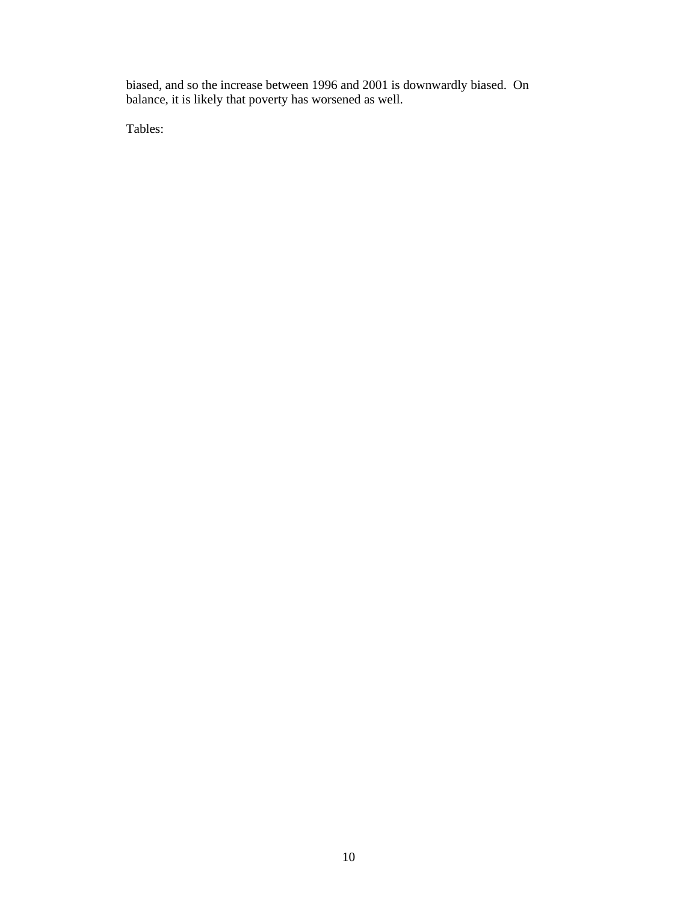biased, and so the increase between 1996 and 2001 is downwardly biased. On balance, it is likely that poverty has worsened as well.

Tables: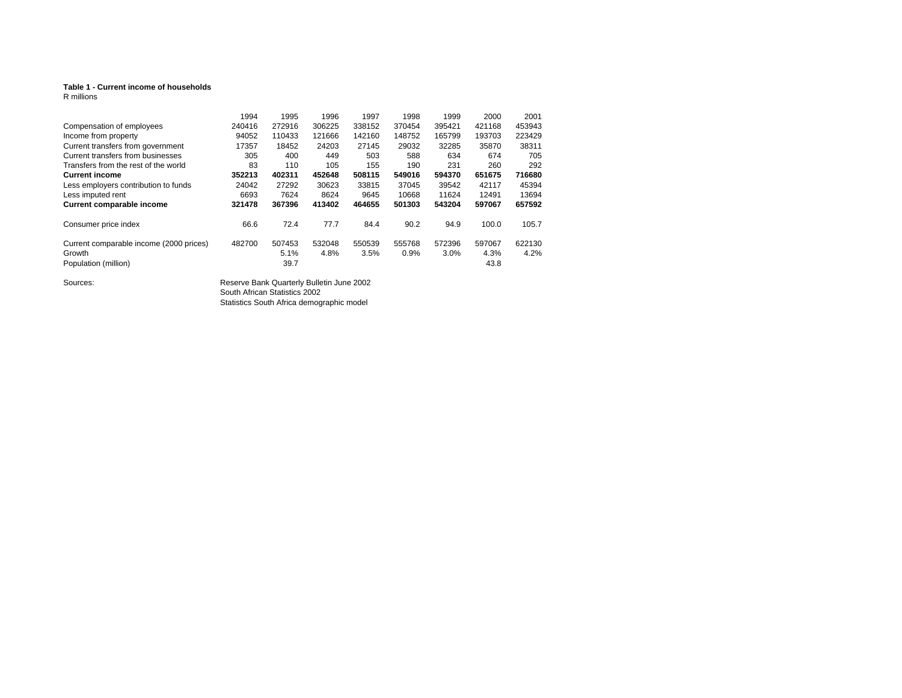#### **Table 1 - Current income of households**

R millions

|                                         | 1994   | 1995   | 1996   | 1997   | 1998   | 1999    | 2000   | 2001   |
|-----------------------------------------|--------|--------|--------|--------|--------|---------|--------|--------|
| Compensation of employees               | 240416 | 272916 | 306225 | 338152 | 370454 | 395421  | 421168 | 453943 |
| Income from property                    | 94052  | 110433 | 121666 | 142160 | 148752 | 165799  | 193703 | 223429 |
| Current transfers from government       | 17357  | 18452  | 24203  | 27145  | 29032  | 32285   | 35870  | 38311  |
| Current transfers from businesses       | 305    | 400    | 449    | 503    | 588    | 634     | 674    | 705    |
| Transfers from the rest of the world    | 83     | 110    | 105    | 155    | 190    | 231     | 260    | 292    |
| <b>Current income</b>                   | 352213 | 402311 | 452648 | 508115 | 549016 | 594370  | 651675 | 716680 |
| Less employers contribution to funds    | 24042  | 27292  | 30623  | 33815  | 37045  | 39542   | 42117  | 45394  |
| Less imputed rent                       | 6693   | 7624   | 8624   | 9645   | 10668  | 11624   | 12491  | 13694  |
| Current comparable income               | 321478 | 367396 | 413402 | 464655 | 501303 | 543204  | 597067 | 657592 |
| Consumer price index                    | 66.6   | 72.4   | 77.7   | 84.4   | 90.2   | 94.9    | 100.0  | 105.7  |
| Current comparable income (2000 prices) | 482700 | 507453 | 532048 | 550539 | 555768 | 572396  | 597067 | 622130 |
| Growth                                  |        | 5.1%   | 4.8%   | 3.5%   | 0.9%   | $3.0\%$ | 4.3%   | 4.2%   |
| Population (million)                    |        | 39.7   |        |        |        |         | 43.8   |        |

Sources: Sources: Reserve Bank Quarterly Bulletin June 2002 South African Statistics 2002 Statistics South Africa demographic model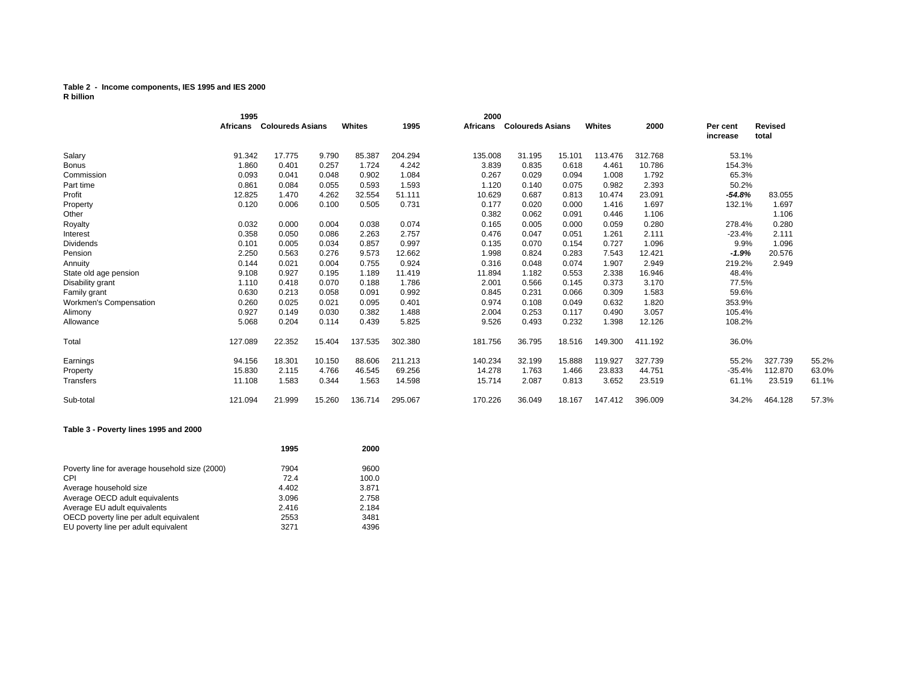#### **Table 2 - Income components, IES 1995 and IES 2000 R billion**

|                        | 1995     |                         |        |         |         | 2000     |                         |        |         |         |                      |                         |       |
|------------------------|----------|-------------------------|--------|---------|---------|----------|-------------------------|--------|---------|---------|----------------------|-------------------------|-------|
|                        | Africans | <b>Coloureds Asians</b> |        | Whites  | 1995    | Africans | <b>Coloureds Asians</b> |        | Whites  | 2000    | Per cent<br>increase | <b>Revised</b><br>total |       |
| Salary                 | 91.342   | 17.775                  | 9.790  | 85.387  | 204.294 | 135.008  | 31.195                  | 15.101 | 113.476 | 312.768 | 53.1%                |                         |       |
| <b>Bonus</b>           | 1.860    | 0.401                   | 0.257  | 1.724   | 4.242   | 3.839    | 0.835                   | 0.618  | 4.461   | 10.786  | 154.3%               |                         |       |
| Commission             | 0.093    | 0.041                   | 0.048  | 0.902   | 1.084   | 0.267    | 0.029                   | 0.094  | 1.008   | 1.792   | 65.3%                |                         |       |
| Part time              | 0.861    | 0.084                   | 0.055  | 0.593   | 1.593   | 1.120    | 0.140                   | 0.075  | 0.982   | 2.393   | 50.2%                |                         |       |
| Profit                 | 12.825   | 1.470                   | 4.262  | 32.554  | 51.111  | 10.629   | 0.687                   | 0.813  | 10.474  | 23.091  | $-54.8%$             | 83.055                  |       |
| Property               | 0.120    | 0.006                   | 0.100  | 0.505   | 0.731   | 0.177    | 0.020                   | 0.000  | 1.416   | 1.697   | 132.1%               | 1.697                   |       |
| Other                  |          |                         |        |         |         | 0.382    | 0.062                   | 0.091  | 0.446   | 1.106   |                      | 1.106                   |       |
| Royalty                | 0.032    | 0.000                   | 0.004  | 0.038   | 0.074   | 0.165    | 0.005                   | 0.000  | 0.059   | 0.280   | 278.4%               | 0.280                   |       |
| Interest               | 0.358    | 0.050                   | 0.086  | 2.263   | 2.757   | 0.476    | 0.047                   | 0.051  | 1.261   | 2.111   | $-23.4%$             | 2.111                   |       |
| <b>Dividends</b>       | 0.101    | 0.005                   | 0.034  | 0.857   | 0.997   | 0.135    | 0.070                   | 0.154  | 0.727   | 1.096   | 9.9%                 | 1.096                   |       |
| Pension                | 2.250    | 0.563                   | 0.276  | 9.573   | 12.662  | 1.998    | 0.824                   | 0.283  | 7.543   | 12.421  | $-1.9%$              | 20.576                  |       |
| Annuity                | 0.144    | 0.021                   | 0.004  | 0.755   | 0.924   | 0.316    | 0.048                   | 0.074  | 1.907   | 2.949   | 219.2%               | 2.949                   |       |
| State old age pension  | 9.108    | 0.927                   | 0.195  | 1.189   | 11.419  | 11.894   | 1.182                   | 0.553  | 2.338   | 16.946  | 48.4%                |                         |       |
| Disability grant       | 1.110    | 0.418                   | 0.070  | 0.188   | 1.786   | 2.001    | 0.566                   | 0.145  | 0.373   | 3.170   | 77.5%                |                         |       |
| Family grant           | 0.630    | 0.213                   | 0.058  | 0.091   | 0.992   | 0.845    | 0.231                   | 0.066  | 0.309   | 1.583   | 59.6%                |                         |       |
| Workmen's Compensation | 0.260    | 0.025                   | 0.021  | 0.095   | 0.401   | 0.974    | 0.108                   | 0.049  | 0.632   | 1.820   | 353.9%               |                         |       |
| Alimony                | 0.927    | 0.149                   | 0.030  | 0.382   | 1.488   | 2.004    | 0.253                   | 0.117  | 0.490   | 3.057   | 105.4%               |                         |       |
| Allowance              | 5.068    | 0.204                   | 0.114  | 0.439   | 5.825   | 9.526    | 0.493                   | 0.232  | 1.398   | 12.126  | 108.2%               |                         |       |
| Total                  | 127.089  | 22.352                  | 15.404 | 137.535 | 302.380 | 181.756  | 36.795                  | 18.516 | 149.300 | 411.192 | 36.0%                |                         |       |
| Earnings               | 94.156   | 18.301                  | 10.150 | 88.606  | 211.213 | 140.234  | 32.199                  | 15.888 | 119.927 | 327.739 | 55.2%                | 327.739                 | 55.2% |
| Property               | 15.830   | 2.115                   | 4.766  | 46.545  | 69.256  | 14.278   | 1.763                   | 1.466  | 23.833  | 44.751  | $-35.4%$             | 112.870                 | 63.0% |
| Transfers              | 11.108   | 1.583                   | 0.344  | 1.563   | 14.598  | 15.714   | 2.087                   | 0.813  | 3.652   | 23.519  | 61.1%                | 23.519                  | 61.1% |
| Sub-total              | 121.094  | 21.999                  | 15.260 | 136.714 | 295.067 | 170.226  | 36.049                  | 18.167 | 147.412 | 396.009 | 34.2%                | 464.128                 | 57.3% |

#### **Table 3 - Poverty lines 1995 and 2000**

|                                                | 1995  | 2000  |
|------------------------------------------------|-------|-------|
| Poverty line for average household size (2000) | 7904  | 9600  |
| CPI                                            | 72.4  | 100.0 |
| Average household size                         | 4.402 | 3.871 |
| Average OECD adult equivalents                 | 3.096 | 2.758 |
| Average EU adult equivalents                   | 2.416 | 2.184 |
| OECD poverty line per adult equivalent         | 2553  | 3481  |
| EU poverty line per adult equivalent           | 3271  | 4396  |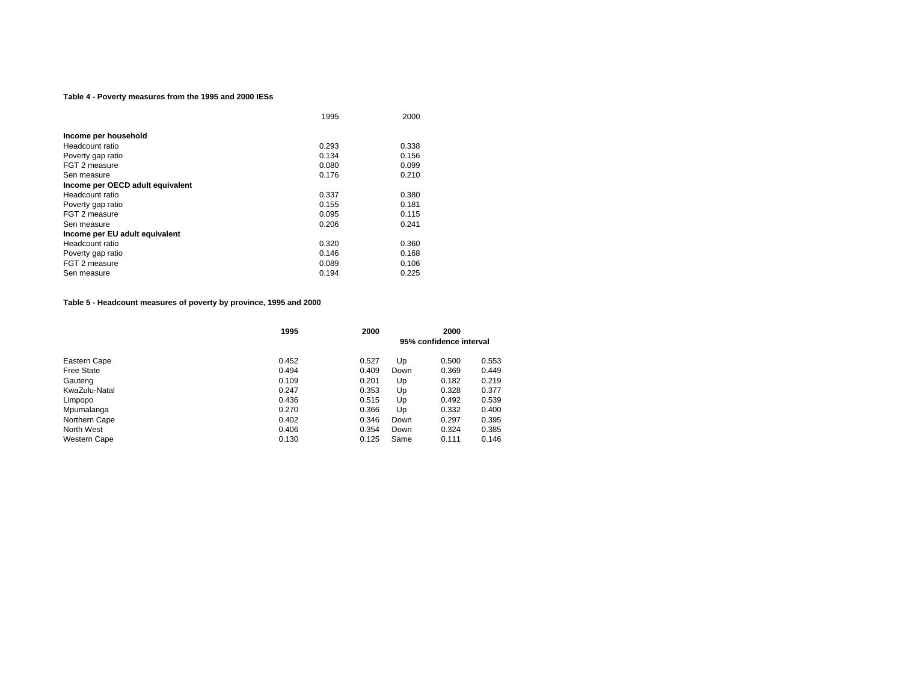#### **Table 4 - Poverty measures from the 1995 and 2000 IESs**

|                                  | 1995  | 2000  |
|----------------------------------|-------|-------|
|                                  |       |       |
| Income per household             |       |       |
| Headcount ratio                  | 0.293 | 0.338 |
| Poverty gap ratio                | 0.134 | 0.156 |
| FGT 2 measure                    | 0.080 | 0.099 |
| Sen measure                      | 0.176 | 0.210 |
| Income per OECD adult equivalent |       |       |
| Headcount ratio                  | 0.337 | 0.380 |
| Poverty gap ratio                | 0.155 | 0.181 |
| FGT 2 measure                    | 0.095 | 0.115 |
| Sen measure                      | 0.206 | 0.241 |
| Income per EU adult equivalent   |       |       |
| Headcount ratio                  | 0.320 | 0.360 |
| Poverty gap ratio                | 0.146 | 0.168 |
| FGT 2 measure                    | 0.089 | 0.106 |
| Sen measure                      | 0.194 | 0.225 |

**Table 5 - Headcount measures of poverty by province, 1995 and 2000**

|                     | 1995  | 2000  | 2000<br>95% confidence interval |       |       |
|---------------------|-------|-------|---------------------------------|-------|-------|
| Eastern Cape        | 0.452 | 0.527 | Up                              | 0.500 | 0.553 |
| <b>Free State</b>   | 0.494 | 0.409 | Down                            | 0.369 | 0.449 |
| Gauteng             | 0.109 | 0.201 | Up                              | 0.182 | 0.219 |
| KwaZulu-Natal       | 0.247 | 0.353 | Up                              | 0.328 | 0.377 |
| Limpopo             | 0.436 | 0.515 | Up                              | 0.492 | 0.539 |
| Mpumalanga          | 0.270 | 0.366 | Up                              | 0.332 | 0.400 |
| Northern Cape       | 0.402 | 0.346 | Down                            | 0.297 | 0.395 |
| North West          | 0.406 | 0.354 | Down                            | 0.324 | 0.385 |
| <b>Western Cape</b> | 0.130 | 0.125 | Same                            | 0.111 | 0.146 |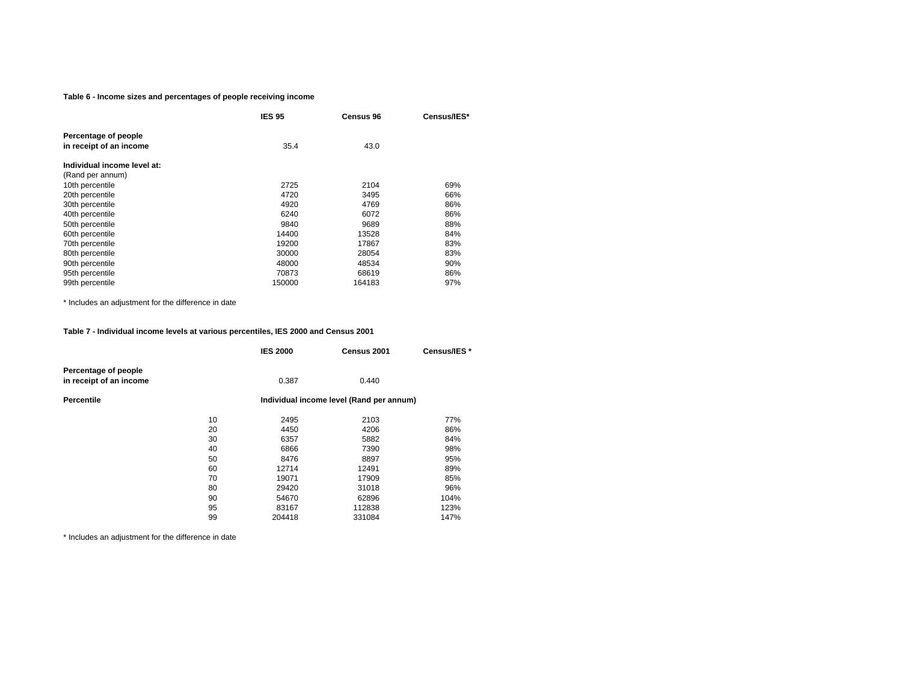#### **Table 6 - Income sizes and percentages of people receiving income**

|                             | <b>IES 95</b> | <b>Census 96</b> | Census/IES* |
|-----------------------------|---------------|------------------|-------------|
| Percentage of people        |               |                  |             |
| in receipt of an income     | 35.4          | 43.0             |             |
| Individual income level at: |               |                  |             |
| (Rand per annum)            |               |                  |             |
| 10th percentile             | 2725          | 2104             | 69%         |
| 20th percentile             | 4720          | 3495             | 66%         |
| 30th percentile             | 4920          | 4769             | 86%         |
| 40th percentile             | 6240          | 6072             | 86%         |
| 50th percentile             | 9840          | 9689             | 88%         |
| 60th percentile             | 14400         | 13528            | 84%         |
| 70th percentile             | 19200         | 17867            | 83%         |
| 80th percentile             | 30000         | 28054            | 83%         |
| 90th percentile             | 48000         | 48534            | 90%         |
| 95th percentile             | 70873         | 68619            | 86%         |
| 99th percentile             | 150000        | 164183           | 97%         |

\* Includes an adjustment for the difference in date

#### **Table 7 - Individual income levels at various percentiles, IES 2000 and Census 2001**

|    | <b>IES 2000</b>                          | Census 2001 | Census/IES* |  |  |
|----|------------------------------------------|-------------|-------------|--|--|
|    | 0.387                                    | 0.440       |             |  |  |
|    | Individual income level (Rand per annum) |             |             |  |  |
| 10 | 2495                                     | 2103        | 77%         |  |  |
| 20 | 4450                                     | 4206        | 86%         |  |  |
| 30 | 6357                                     | 5882        | 84%         |  |  |
| 40 | 6866                                     | 7390        | 98%         |  |  |
| 50 | 8476                                     | 8897        | 95%         |  |  |
| 60 | 12714                                    | 12491       | 89%         |  |  |
| 70 | 19071                                    | 17909       | 85%         |  |  |
| 80 | 29420                                    | 31018       | 96%         |  |  |
| 90 | 54670                                    | 62896       | 104%        |  |  |
| 95 | 83167                                    | 112838      | 123%        |  |  |
| 99 | 204418                                   | 331084      | 147%        |  |  |
|    |                                          |             |             |  |  |

\* Includes an adjustment for the difference in date